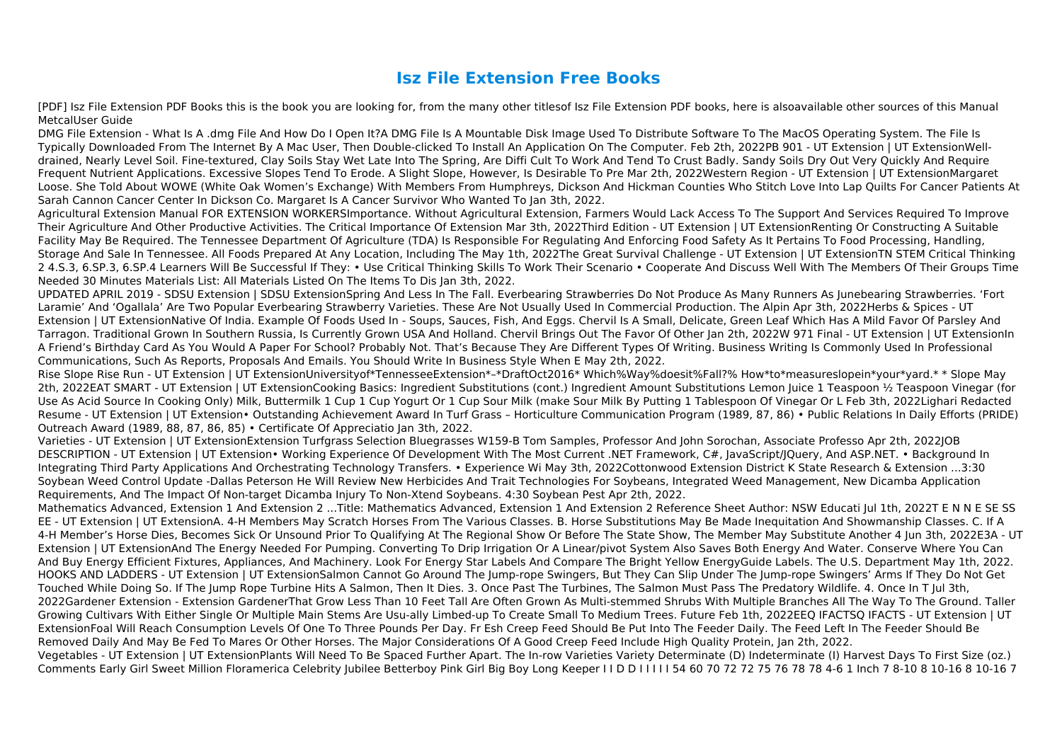## **Isz File Extension Free Books**

[PDF] Isz File Extension PDF Books this is the book you are looking for, from the many other titlesof Isz File Extension PDF books, here is alsoavailable other sources of this Manual MetcalUser Guide

DMG File Extension - What Is A .dmg File And How Do I Open It?A DMG File Is A Mountable Disk Image Used To Distribute Software To The MacOS Operating System. The File Is Typically Downloaded From The Internet By A Mac User, Then Double-clicked To Install An Application On The Computer. Feb 2th, 2022PB 901 - UT Extension | UT ExtensionWelldrained, Nearly Level Soil. Fine-textured, Clay Soils Stay Wet Late Into The Spring, Are Diffi Cult To Work And Tend To Crust Badly. Sandy Soils Dry Out Very Quickly And Require Frequent Nutrient Applications. Excessive Slopes Tend To Erode. A Slight Slope, However, Is Desirable To Pre Mar 2th, 2022Western Region - UT Extension | UT ExtensionMargaret Loose. She Told About WOWE (White Oak Women's Exchange) With Members From Humphreys, Dickson And Hickman Counties Who Stitch Love Into Lap Quilts For Cancer Patients At Sarah Cannon Cancer Center In Dickson Co. Margaret Is A Cancer Survivor Who Wanted To Jan 3th, 2022.

Agricultural Extension Manual FOR EXTENSION WORKERSImportance. Without Agricultural Extension, Farmers Would Lack Access To The Support And Services Required To Improve Their Agriculture And Other Productive Activities. The Critical Importance Of Extension Mar 3th, 2022Third Edition - UT Extension | UT ExtensionRenting Or Constructing A Suitable Facility May Be Required. The Tennessee Department Of Agriculture (TDA) Is Responsible For Regulating And Enforcing Food Safety As It Pertains To Food Processing, Handling, Storage And Sale In Tennessee. All Foods Prepared At Any Location, Including The May 1th, 2022The Great Survival Challenge - UT Extension | UT ExtensionTN STEM Critical Thinking 2 4.S.3, 6.SP.3, 6.SP.4 Learners Will Be Successful If They: • Use Critical Thinking Skills To Work Their Scenario • Cooperate And Discuss Well With The Members Of Their Groups Time Needed 30 Minutes Materials List: All Materials Listed On The Items To Dis Jan 3th, 2022.

UPDATED APRIL 2019 - SDSU Extension | SDSU ExtensionSpring And Less In The Fall. Everbearing Strawberries Do Not Produce As Many Runners As Junebearing Strawberries. 'Fort Laramie' And 'Ogallala' Are Two Popular Everbearing Strawberry Varieties. These Are Not Usually Used In Commercial Production. The Alpin Apr 3th, 2022Herbs & Spices - UT Extension | UT ExtensionNative Of India. Example Of Foods Used In - Soups, Sauces, Fish, And Eggs. Chervil Is A Small, Delicate, Green Leaf Which Has A Mild Favor Of Parsley And Tarragon. Traditional Grown In Southern Russia, Is Currently Grown USA And Holland. Chervil Brings Out The Favor Of Other Jan 2th, 2022W 971 Final - UT Extension | UT ExtensionIn A Friend's Birthday Card As You Would A Paper For School? Probably Not. That's Because They Are Different Types Of Writing. Business Writing Is Commonly Used In Professional Communications, Such As Reports, Proposals And Emails. You Should Write In Business Style When E May 2th, 2022.

Rise Slope Rise Run - UT Extension | UT ExtensionUniversityof\*TennesseeExtension\*–\*DraftOct2016\* Which%Way%doesit%Fall?% How\*to\*measureslopein\*your\*yard.\* \* Slope May 2th, 2022EAT SMART - UT Extension | UT ExtensionCooking Basics: Ingredient Substitutions (cont.) Ingredient Amount Substitutions Lemon Juice 1 Teaspoon ½ Teaspoon Vinegar (for Use As Acid Source In Cooking Only) Milk, Buttermilk 1 Cup 1 Cup Yogurt Or 1 Cup Sour Milk (make Sour Milk By Putting 1 Tablespoon Of Vinegar Or L Feb 3th, 2022Lighari Redacted Resume - UT Extension | UT Extension• Outstanding Achievement Award In Turf Grass – Horticulture Communication Program (1989, 87, 86) • Public Relations In Daily Efforts (PRIDE) Outreach Award (1989, 88, 87, 86, 85) • Certificate Of Appreciatio Jan 3th, 2022.

Varieties - UT Extension | UT ExtensionExtension Turfgrass Selection Bluegrasses W159-B Tom Samples, Professor And John Sorochan, Associate Professo Apr 2th, 2022JOB DESCRIPTION - UT Extension | UT Extension• Working Experience Of Development With The Most Current .NET Framework, C#, JavaScript/JQuery, And ASP.NET. • Background In Integrating Third Party Applications And Orchestrating Technology Transfers. • Experience Wi May 3th, 2022Cottonwood Extension District K State Research & Extension ...3:30 Soybean Weed Control Update -Dallas Peterson He Will Review New Herbicides And Trait Technologies For Soybeans, Integrated Weed Management, New Dicamba Application Requirements, And The Impact Of Non-target Dicamba Injury To Non-Xtend Soybeans. 4:30 Soybean Pest Apr 2th, 2022.

Mathematics Advanced, Extension 1 And Extension 2 ...Title: Mathematics Advanced, Extension 1 And Extension 2 Reference Sheet Author: NSW Educati Jul 1th, 2022T E N N E SE SS EE - UT Extension | UT ExtensionA. 4-H Members May Scratch Horses From The Various Classes. B. Horse Substitutions May Be Made Inequitation And Showmanship Classes. C. If A 4-H Member's Horse Dies, Becomes Sick Or Unsound Prior To Qualifying At The Regional Show Or Before The State Show, The Member May Substitute Another 4 Jun 3th, 2022E3A - UT Extension | UT ExtensionAnd The Energy Needed For Pumping. Converting To Drip Irrigation Or A Linear/pivot System Also Saves Both Energy And Water. Conserve Where You Can And Buy Energy Efficient Fixtures, Appliances, And Machinery. Look For Energy Star Labels And Compare The Bright Yellow EnergyGuide Labels. The U.S. Department May 1th, 2022. HOOKS AND LADDERS - UT Extension | UT ExtensionSalmon Cannot Go Around The Jump-rope Swingers, But They Can Slip Under The Jump-rope Swingers' Arms If They Do Not Get Touched While Doing So. If The Jump Rope Turbine Hits A Salmon, Then It Dies. 3. Once Past The Turbines, The Salmon Must Pass The Predatory Wildlife. 4. Once In T Jul 3th, 2022Gardener Extension - Extension GardenerThat Grow Less Than 10 Feet Tall Are Often Grown As Multi-stemmed Shrubs With Multiple Branches All The Way To The Ground. Taller Growing Cultivars With Either Single Or Multiple Main Stems Are Usu-ally Limbed-up To Create Small To Medium Trees. Future Feb 1th, 2022EEQ IFACTSQ IFACTS - UT Extension | UT ExtensionFoal Will Reach Consumption Levels Of One To Three Pounds Per Day. Fr Esh Creep Feed Should Be Put Into The Feeder Daily. The Feed Left In The Feeder Should Be Removed Daily And May Be Fed To Mares Or Other Horses. The Major Considerations Of A Good Creep Feed Include High Quality Protein, Jan 2th, 2022. Vegetables - UT Extension | UT ExtensionPlants Will Need To Be Spaced Further Apart. The In-row Varieties Variety Determinate (D) Indeterminate (I) Harvest Days To First Size (oz.) Comments Early Girl Sweet Million Floramerica Celebrity Jubilee Betterboy Pink Girl Big Boy Long Keeper I I D D I I I I I 54 60 70 72 72 75 76 78 78 4-6 1 Inch 7 8-10 8 10-16 8 10-16 7